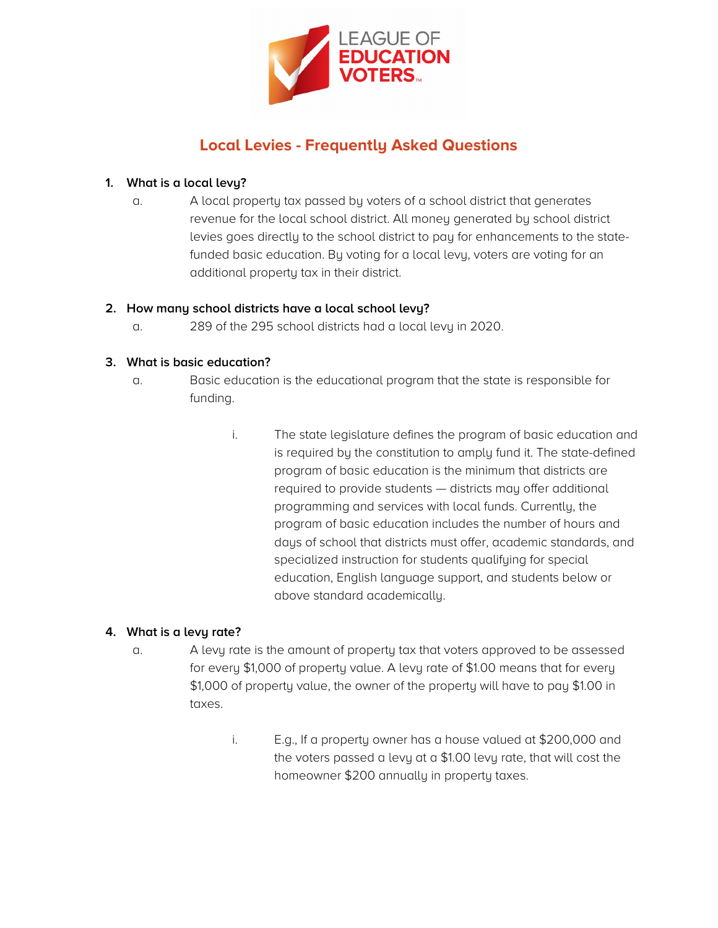

# **Local Levies - Frequently Asked Questions**

## **1. What is a local levy?**

a. A local property tax passed by voters of a school district that generates revenue for the local school district. All money generated by school district levies goes directly to the school district to pay for enhancements to the statefunded basic education. By voting for a local levy, voters are voting for an additional property tax in their district.

## **2. How many school districts have a local school levy?**

a. 289 of the 295 school districts had a local levy in 2020.

## **3. What is basic education?**

- a. Basic education is the educational program that the state is responsible for funding.
	- i. The state legislature defines the program of basic education and is required by the constitution to amply fund it. The state-defined program of basic education is the minimum that districts are required to provide students — districts may offer additional programming and services with local funds. Currently, the program of basic education includes the number of hours and days of school that districts must offer, academic standards, and specialized instruction for students qualifying for special education, English language support, and students below or above standard academically.

# **4. What is a levy rate?**

- a. A levy rate is the amount of property tax that voters approved to be assessed for every \$1,000 of property value. A levy rate of \$1.00 means that for every \$1,000 of property value, the owner of the property will have to pay \$1.00 in taxes.
	- i. E.g., If a property owner has a house valued at \$200,000 and the voters passed a levy at a \$1.00 levy rate, that will cost the homeowner \$200 annually in property taxes.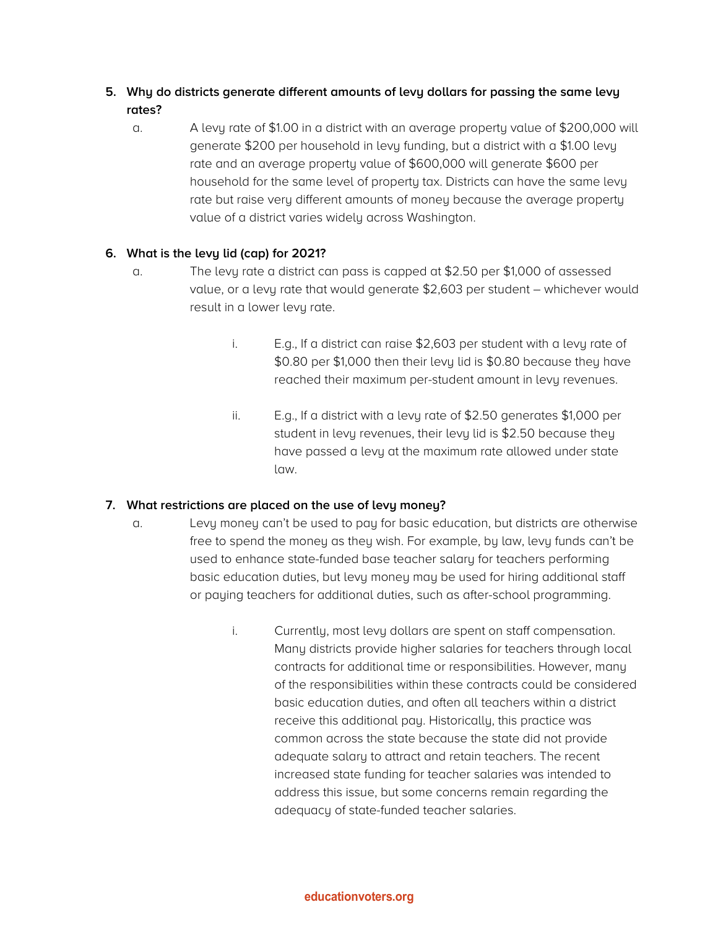# **5. Why do districts generate different amounts of levy dollars for passing the same levy rates?**

a. A levy rate of \$1.00 in a district with an average property value of \$200,000 will generate \$200 per household in levy funding, but a district with a \$1.00 levy rate and an average property value of \$600,000 will generate \$600 per household for the same level of property tax. Districts can have the same levy rate but raise very different amounts of money because the average property value of a district varies widely across Washington.

# **6. What is the levy lid (cap) for 2021?**

- a. The levy rate a district can pass is capped at \$2.50 per \$1,000 of assessed value, or a levy rate that would generate \$2,603 per student – whichever would result in a lower levy rate.
	- i. E.g., If a district can raise \$2,603 per student with a levy rate of \$0.80 per \$1,000 then their levy lid is \$0.80 because they have reached their maximum per-student amount in levy revenues.
	- ii. E.g., If a district with a levy rate of \$2.50 generates \$1,000 per student in levy revenues, their levy lid is \$2.50 because they have passed a levy at the maximum rate allowed under state law.

# **7. What restrictions are placed on the use of levy money?**

- a. Levy money can't be used to pay for basic education, but districts are otherwise free to spend the money as they wish. For example, by law, levy funds can't be used to enhance state-funded base teacher salary for teachers performing basic education duties, but levy money may be used for hiring additional staff or paying teachers for additional duties, such as after-school programming.
	- i. Currently, most levy dollars are spent on staff compensation. Many districts provide higher salaries for teachers through local contracts for additional time or responsibilities. However, many of the responsibilities within these contracts could be considered basic education duties, and often all teachers within a district receive this additional pay. Historically, this practice was common across the state because the state did not provide adequate salary to attract and retain teachers. The recent increased state funding for teacher salaries was intended to address this issue, but some concerns remain regarding the adequacy of state-funded teacher salaries.

#### **educationvoters.org**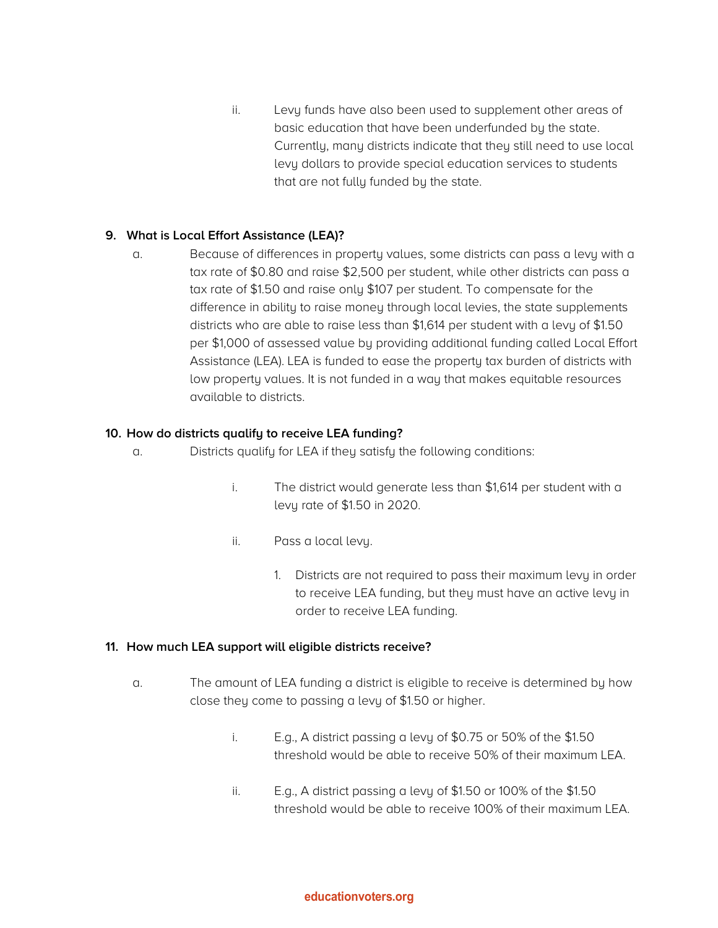ii. Levy funds have also been used to supplement other areas of basic education that have been underfunded by the state. Currently, many districts indicate that they still need to use local levy dollars to provide special education services to students that are not fully funded by the state.

#### **9. What is Local Effort Assistance (LEA)?**

a. Because of differences in property values, some districts can pass a levy with a tax rate of \$0.80 and raise \$2,500 per student, while other districts can pass a tax rate of \$1.50 and raise only \$107 per student. To compensate for the difference in ability to raise money through local levies, the state supplements districts who are able to raise less than \$1,614 per student with a levy of \$1.50 per \$1,000 of assessed value by providing additional funding called Local Effort Assistance (LEA). LEA is funded to ease the property tax burden of districts with low property values. It is not funded in a way that makes equitable resources available to districts.

#### **10. How do districts qualify to receive LEA funding?**

- a. Districts qualify for LEA if they satisfy the following conditions:
	- i. The district would generate less than \$1,614 per student with a levy rate of \$1.50 in 2020.
	- ii. Pass a local levy.
		- 1. Districts are not required to pass their maximum levy in order to receive LEA funding, but they must have an active levy in order to receive LEA funding.

#### **11. How much LEA support will eligible districts receive?**

- a. The amount of LEA funding a district is eligible to receive is determined by how close they come to passing a levy of \$1.50 or higher.
	- i. E.g., A district passing a levy of \$0.75 or 50% of the \$1.50 threshold would be able to receive 50% of their maximum LEA.
	- ii. E.g., A district passing a levy of \$1.50 or 100% of the \$1.50 threshold would be able to receive 100% of their maximum LEA.